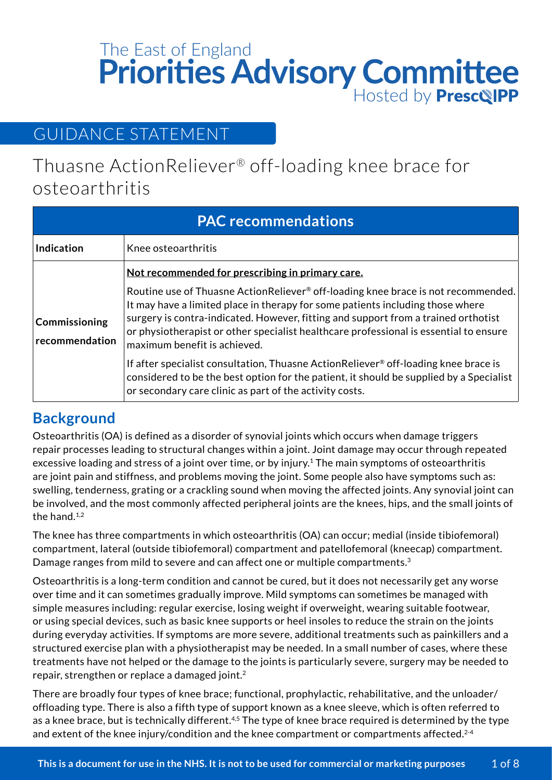# Hosted by **Presc&IPP** The East of England<br>**Priorities Advisory Committee**

## GUIDANCE STATEMENT

Thuasne ActionReliever® off-loading knee brace for osteoarthritis

| <b>PAC recommendations</b>      |                                                                                                                                                                                                                                                                                                                                                                                    |  |
|---------------------------------|------------------------------------------------------------------------------------------------------------------------------------------------------------------------------------------------------------------------------------------------------------------------------------------------------------------------------------------------------------------------------------|--|
| <b>Indication</b>               | Knee osteoarthritis                                                                                                                                                                                                                                                                                                                                                                |  |
|                                 | Not recommended for prescribing in primary care.                                                                                                                                                                                                                                                                                                                                   |  |
| Commissioning<br>recommendation | Routine use of Thuasne ActionReliever® off-loading knee brace is not recommended.<br>It may have a limited place in therapy for some patients including those where<br>surgery is contra-indicated. However, fitting and support from a trained orthotist<br>or physiotherapist or other specialist healthcare professional is essential to ensure<br>maximum benefit is achieved. |  |
|                                 | If after specialist consultation, Thuasne ActionReliever® off-loading knee brace is<br>considered to be the best option for the patient, it should be supplied by a Specialist<br>or secondary care clinic as part of the activity costs.                                                                                                                                          |  |

## **Background**

Osteoarthritis (OA) is defined as a disorder of synovial joints which occurs when damage triggers repair processes leading to structural changes within a joint. Joint damage may occur through repeated excessive loading and stress of a joint over time, or by injury.<sup>1</sup> The main symptoms of osteoarthritis are joint pain and stiffness, and problems moving the joint. Some people also have symptoms such as: swelling, tenderness, grating or a crackling sound when moving the affected joints. Any synovial joint can be involved, and the most commonly affected peripheral joints are the knees, hips, and the small joints of the hand. $1,2$ 

The knee has three compartments in which osteoarthritis (OA) can occur; medial (inside tibiofemoral) compartment, lateral (outside tibiofemoral) compartment and patellofemoral (kneecap) compartment. Damage ranges from mild to severe and can affect one or multiple compartments.<sup>3</sup>

Osteoarthritis is a long-term condition and cannot be cured, but it does not necessarily get any worse over time and it can sometimes gradually improve. Mild symptoms can sometimes be managed with simple measures including: regular exercise, losing weight if overweight, wearing suitable footwear, or using special devices, such as basic knee supports or heel insoles to reduce the strain on the joints during everyday activities. If symptoms are more severe, additional treatments such as painkillers and a structured exercise plan with a physiotherapist may be needed. In a small number of cases, where these treatments have not helped or the damage to the joints is particularly severe, surgery may be needed to repair, strengthen or replace a damaged joint.2

There are broadly four types of knee brace; functional, prophylactic, rehabilitative, and the unloader/ offloading type. There is also a fifth type of support known as a knee sleeve, which is often referred to as a knee brace, but is technically different.<sup>4,5</sup> The type of knee brace required is determined by the type and extent of the knee injury/condition and the knee compartment or compartments affected.<sup>2-4</sup>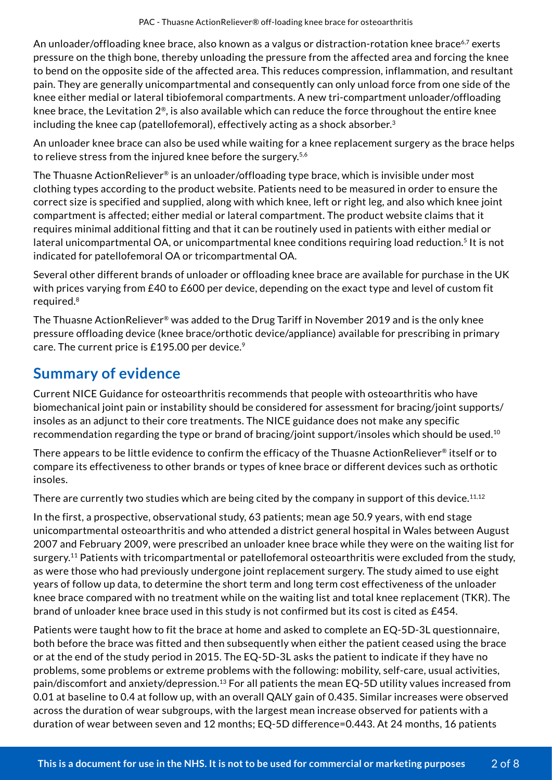An unloader/offloading knee brace, also known as a valgus or distraction-rotation knee brace<sup>6,7</sup> exerts pressure on the thigh bone, thereby unloading the pressure from the affected area and forcing the knee to bend on the opposite side of the affected area. This reduces compression, inflammation, and resultant pain. They are generally unicompartmental and consequently can only unload force from one side of the knee either medial or lateral tibiofemoral compartments. A new tri-compartment unloader/offloading knee brace, the Levitation 2®, is also available which can reduce the force throughout the entire knee including the knee cap (patellofemoral), effectively acting as a shock absorber. $3$ 

An unloader knee brace can also be used while waiting for a knee replacement surgery as the brace helps to relieve stress from the injured knee before the surgery.<sup>5,6</sup>

The Thuasne ActionReliever® is an unloader/offloading type brace, which is invisible under most clothing types according to the product website. Patients need to be measured in order to ensure the correct size is specified and supplied, along with which knee, left or right leg, and also which knee joint compartment is affected; either medial or lateral compartment. The product website claims that it requires minimal additional fitting and that it can be routinely used in patients with either medial or lateral unicompartmental OA, or unicompartmental knee conditions requiring load reduction.<sup>5</sup> It is not indicated for patellofemoral OA or tricompartmental OA.

Several other different brands of unloader or offloading knee brace are available for purchase in the UK with prices varying from £40 to £600 per device, depending on the exact type and level of custom fit required.8

The Thuasne ActionReliever® was added to the Drug Tariff in November 2019 and is the only knee pressure offloading device (knee brace/orthotic device/appliance) available for prescribing in primary care. The current price is  $£195.00$  per device.<sup>9</sup>

## **Summary of evidence**

Current NICE Guidance for osteoarthritis recommends that people with osteoarthritis who have biomechanical joint pain or instability should be considered for assessment for bracing/joint supports/ insoles as an adjunct to their core treatments. The NICE guidance does not make any specific recommendation regarding the type or brand of bracing/joint support/insoles which should be used.10

There appears to be little evidence to confirm the efficacy of the Thuasne ActionReliever® itself or to compare its effectiveness to other brands or types of knee brace or different devices such as orthotic insoles.

There are currently two studies which are being cited by the company in support of this device.<sup>11,12</sup>

In the first, a prospective, observational study, 63 patients; mean age 50.9 years, with end stage unicompartmental osteoarthritis and who attended a district general hospital in Wales between August 2007 and February 2009, were prescribed an unloader knee brace while they were on the waiting list for surgery.<sup>11</sup> Patients with tricompartmental or patellofemoral osteoarthritis were excluded from the study, as were those who had previously undergone joint replacement surgery. The study aimed to use eight years of follow up data, to determine the short term and long term cost effectiveness of the unloader knee brace compared with no treatment while on the waiting list and total knee replacement (TKR). The brand of unloader knee brace used in this study is not confirmed but its cost is cited as £454.

Patients were taught how to fit the brace at home and asked to complete an EQ-5D-3L questionnaire, both before the brace was fitted and then subsequently when either the patient ceased using the brace or at the end of the study period in 2015. The EQ-5D-3L asks the patient to indicate if they have no problems, some problems or extreme problems with the following: mobility, self-care, usual activities, pain/discomfort and anxiety/depression.13 For all patients the mean EQ-5D utility values increased from 0.01 at baseline to 0.4 at follow up, with an overall QALY gain of 0.435. Similar increases were observed across the duration of wear subgroups, with the largest mean increase observed for patients with a duration of wear between seven and 12 months; EQ-5D difference=0.443. At 24 months, 16 patients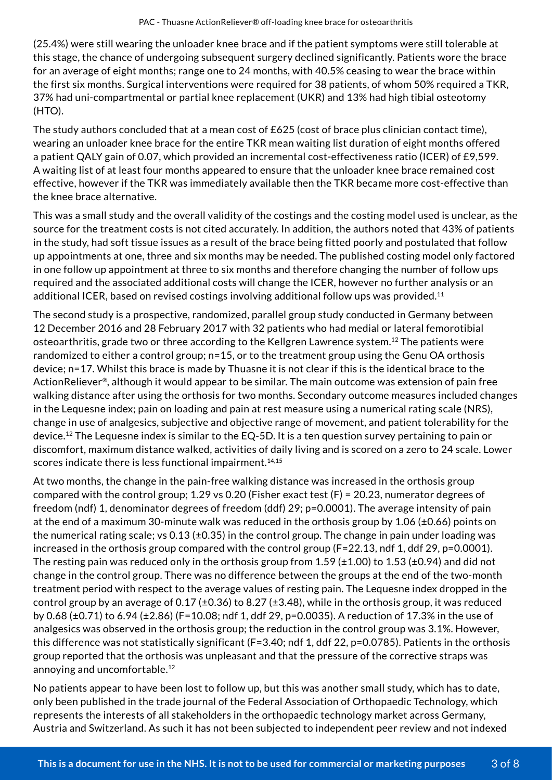(25.4%) were still wearing the unloader knee brace and if the patient symptoms were still tolerable at this stage, the chance of undergoing subsequent surgery declined significantly. Patients wore the brace for an average of eight months; range one to 24 months, with 40.5% ceasing to wear the brace within the first six months. Surgical interventions were required for 38 patients, of whom 50% required a TKR, 37% had uni-compartmental or partial knee replacement (UKR) and 13% had high tibial osteotomy (HTO).

The study authors concluded that at a mean cost of £625 (cost of brace plus clinician contact time), wearing an unloader knee brace for the entire TKR mean waiting list duration of eight months offered a patient QALY gain of 0.07, which provided an incremental cost-effectiveness ratio (ICER) of £9,599. A waiting list of at least four months appeared to ensure that the unloader knee brace remained cost effective, however if the TKR was immediately available then the TKR became more cost-effective than the knee brace alternative.

This was a small study and the overall validity of the costings and the costing model used is unclear, as the source for the treatment costs is not cited accurately. In addition, the authors noted that 43% of patients in the study, had soft tissue issues as a result of the brace being fitted poorly and postulated that follow up appointments at one, three and six months may be needed. The published costing model only factored in one follow up appointment at three to six months and therefore changing the number of follow ups required and the associated additional costs will change the ICER, however no further analysis or an additional ICER, based on revised costings involving additional follow ups was provided.11

The second study is a prospective, randomized, parallel group study conducted in Germany between 12 December 2016 and 28 February 2017 with 32 patients who had medial or lateral femorotibial osteoarthritis, grade two or three according to the Kellgren Lawrence system.12 The patients were randomized to either a control group; n=15, or to the treatment group using the Genu OA orthosis device; n=17. Whilst this brace is made by Thuasne it is not clear if this is the identical brace to the ActionReliever®, although it would appear to be similar. The main outcome was extension of pain free walking distance after using the orthosis for two months. Secondary outcome measures included changes in the Lequesne index; pain on loading and pain at rest measure using a numerical rating scale (NRS), change in use of analgesics, subjective and objective range of movement, and patient tolerability for the device.12 The Lequesne index is similar to the EQ-5D. It is a ten question survey pertaining to pain or discomfort, maximum distance walked, activities of daily living and is scored on a zero to 24 scale. Lower scores indicate there is less functional impairment. $14,15$ 

At two months, the change in the pain-free walking distance was increased in the orthosis group compared with the control group; 1.29 vs 0.20 (Fisher exact test (F) = 20.23, numerator degrees of freedom (ndf) 1, denominator degrees of freedom (ddf) 29; p=0.0001). The average intensity of pain at the end of a maximum 30-minute walk was reduced in the orthosis group by 1.06 (±0.66) points on the numerical rating scale; vs  $0.13$  ( $\pm 0.35$ ) in the control group. The change in pain under loading was increased in the orthosis group compared with the control group (F=22.13, ndf 1, ddf 29, p=0.0001). The resting pain was reduced only in the orthosis group from 1.59 ( $\pm$ 1.00) to 1.53 ( $\pm$ 0.94) and did not change in the control group. There was no difference between the groups at the end of the two-month treatment period with respect to the average values of resting pain. The Lequesne index dropped in the control group by an average of 0.17 (±0.36) to 8.27 (±3.48), while in the orthosis group, it was reduced by 0.68 (±0.71) to 6.94 (±2.86) (F=10.08; ndf 1, ddf 29, p=0.0035). A reduction of 17.3% in the use of analgesics was observed in the orthosis group; the reduction in the control group was 3.1%. However, this difference was not statistically significant (F=3.40; ndf 1, ddf 22, p=0.0785). Patients in the orthosis group reported that the orthosis was unpleasant and that the pressure of the corrective straps was annoying and uncomfortable.12

No patients appear to have been lost to follow up, but this was another small study, which has to date, only been published in the trade journal of the Federal Association of Orthopaedic Technology, which represents the interests of all stakeholders in the orthopaedic technology market across Germany, Austria and Switzerland. As such it has not been subjected to independent peer review and not indexed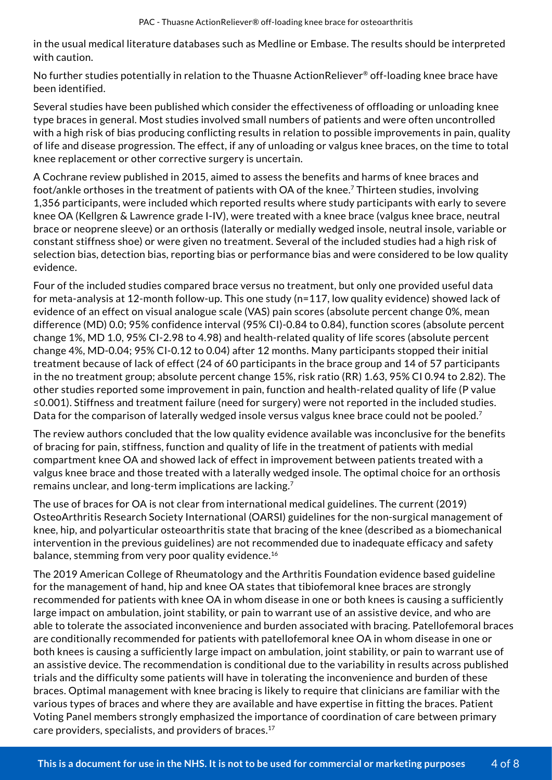in the usual medical literature databases such as Medline or Embase. The results should be interpreted with caution.

No further studies potentially in relation to the Thuasne ActionReliever® off-loading knee brace have been identified.

Several studies have been published which consider the effectiveness of offloading or unloading knee type braces in general. Most studies involved small numbers of patients and were often uncontrolled with a high risk of bias producing conflicting results in relation to possible improvements in pain, quality of life and disease progression. The effect, if any of unloading or valgus knee braces, on the time to total knee replacement or other corrective surgery is uncertain.

A Cochrane review published in 2015, aimed to assess the benefits and harms of knee braces and foot/ankle orthoses in the treatment of patients with OA of the knee.7 Thirteen studies, involving 1,356 participants, were included which reported results where study participants with early to severe knee OA (Kellgren & Lawrence grade I-IV), were treated with a knee brace (valgus knee brace, neutral brace or neoprene sleeve) or an orthosis (laterally or medially wedged insole, neutral insole, variable or constant stiffness shoe) or were given no treatment. Several of the included studies had a high risk of selection bias, detection bias, reporting bias or performance bias and were considered to be low quality evidence.

Four of the included studies compared brace versus no treatment, but only one provided useful data for meta-analysis at 12-month follow-up. This one study (n=117, low quality evidence) showed lack of evidence of an effect on visual analogue scale (VAS) pain scores (absolute percent change 0%, mean difference (MD) 0.0; 95% confidence interval (95% CI)-0.84 to 0.84), function scores (absolute percent change 1%, MD 1.0, 95% CI-2.98 to 4.98) and health-related quality of life scores (absolute percent change 4%, MD-0.04; 95% CI-0.12 to 0.04) after 12 months. Many participants stopped their initial treatment because of lack of effect (24 of 60 participants in the brace group and 14 of 57 participants in the no treatment group; absolute percent change 15%, risk ratio (RR) 1.63, 95% CI 0.94 to 2.82). The other studies reported some improvement in pain, function and health-related quality of life (P value ≤0.001). Stiffness and treatment failure (need for surgery) were not reported in the included studies. Data for the comparison of laterally wedged insole versus valgus knee brace could not be pooled.<sup>7</sup>

The review authors concluded that the low quality evidence available was inconclusive for the benefits of bracing for pain, stiffness, function and quality of life in the treatment of patients with medial compartment knee OA and showed lack of effect in improvement between patients treated with a valgus knee brace and those treated with a laterally wedged insole. The optimal choice for an orthosis remains unclear, and long-term implications are lacking.7

The use of braces for OA is not clear from international medical guidelines. The current (2019) OsteoArthritis Research Society International (OARSI) guidelines for the non-surgical management of knee, hip, and polyarticular osteoarthritis state that bracing of the knee (described as a biomechanical intervention in the previous guidelines) are not recommended due to inadequate efficacy and safety balance, stemming from very poor quality evidence.<sup>16</sup>

The 2019 American College of Rheumatology and the Arthritis Foundation evidence based guideline for the management of hand, hip and knee OA states that tibiofemoral knee braces are strongly recommended for patients with knee OA in whom disease in one or both knees is causing a sufficiently large impact on ambulation, joint stability, or pain to warrant use of an assistive device, and who are able to tolerate the associated inconvenience and burden associated with bracing. Patellofemoral braces are conditionally recommended for patients with patellofemoral knee OA in whom disease in one or both knees is causing a sufficiently large impact on ambulation, joint stability, or pain to warrant use of an assistive device. The recommendation is conditional due to the variability in results across published trials and the difficulty some patients will have in tolerating the inconvenience and burden of these braces. Optimal management with knee bracing is likely to require that clinicians are familiar with the various types of braces and where they are available and have expertise in fitting the braces. Patient Voting Panel members strongly emphasized the importance of coordination of care between primary care providers, specialists, and providers of braces.17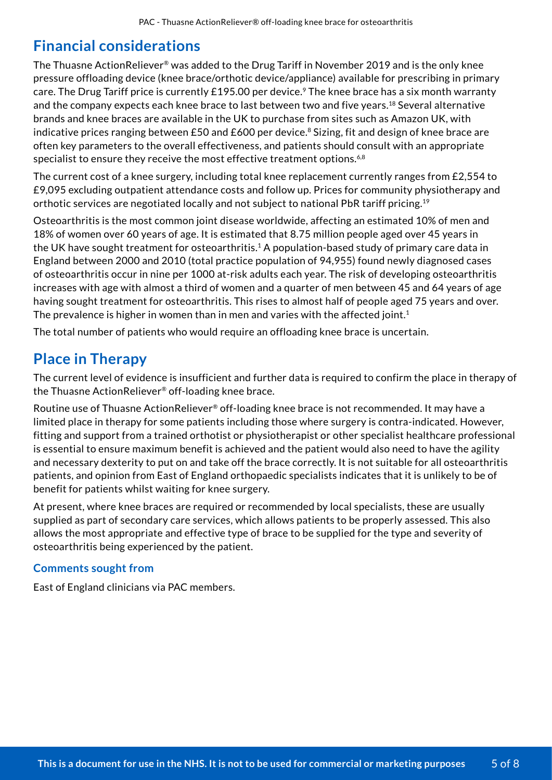## **Financial considerations**

The Thuasne ActionReliever® was added to the Drug Tariff in November 2019 and is the only knee pressure offloading device (knee brace/orthotic device/appliance) available for prescribing in primary care. The Drug Tariff price is currently £195.00 per device.<sup>9</sup> The knee brace has a six month warranty and the company expects each knee brace to last between two and five years.<sup>18</sup> Several alternative brands and knee braces are available in the UK to purchase from sites such as Amazon UK, with indicative prices ranging between £50 and £600 per device.<sup>8</sup> Sizing, fit and design of knee brace are often key parameters to the overall effectiveness, and patients should consult with an appropriate specialist to ensure they receive the most effective treatment options.<sup>6,8</sup>

The current cost of a knee surgery, including total knee replacement currently ranges from £2,554 to £9,095 excluding outpatient attendance costs and follow up. Prices for community physiotherapy and orthotic services are negotiated locally and not subject to national PbR tariff pricing.19

Osteoarthritis is the most common joint disease worldwide, affecting an estimated 10% of men and 18% of women over 60 years of age. It is estimated that 8.75 million people aged over 45 years in the UK have sought treatment for osteoarthritis.<sup>1</sup> A population-based study of primary care data in England between 2000 and 2010 (total practice population of 94,955) found newly diagnosed cases of osteoarthritis occur in nine per 1000 at-risk adults each year. The risk of developing osteoarthritis increases with age with almost a third of women and a quarter of men between 45 and 64 years of age having sought treatment for osteoarthritis. This rises to almost half of people aged 75 years and over. The prevalence is higher in women than in men and varies with the affected joint.<sup>1</sup>

The total number of patients who would require an offloading knee brace is uncertain.

## **Place in Therapy**

The current level of evidence is insufficient and further data is required to confirm the place in therapy of the Thuasne ActionReliever® off-loading knee brace.

Routine use of Thuasne ActionReliever® off-loading knee brace is not recommended. It may have a limited place in therapy for some patients including those where surgery is contra-indicated. However, fitting and support from a trained orthotist or physiotherapist or other specialist healthcare professional is essential to ensure maximum benefit is achieved and the patient would also need to have the agility and necessary dexterity to put on and take off the brace correctly. It is not suitable for all osteoarthritis patients, and opinion from East of England orthopaedic specialists indicates that it is unlikely to be of benefit for patients whilst waiting for knee surgery.

At present, where knee braces are required or recommended by local specialists, these are usually supplied as part of secondary care services, which allows patients to be properly assessed. This also allows the most appropriate and effective type of brace to be supplied for the type and severity of osteoarthritis being experienced by the patient.

#### **Comments sought from**

East of England clinicians via PAC members.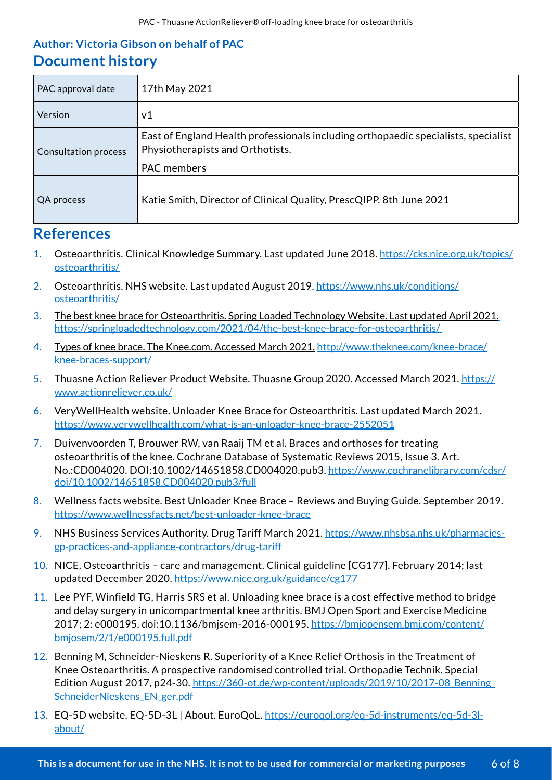## **Author: Victoria Gibson on behalf of PAC Document history**

| PAC approval date           | 17th May 2021                                                                                                          |
|-----------------------------|------------------------------------------------------------------------------------------------------------------------|
| Version                     | v1                                                                                                                     |
| <b>Consultation process</b> | East of England Health professionals including orthopaedic specialists, specialist<br>Physiotherapists and Orthotists. |
|                             | <b>PAC</b> members                                                                                                     |
| QA process                  | Katie Smith, Director of Clinical Quality, PrescQIPP. 8th June 2021                                                    |

## **References**

- 1. Osteoarthritis. Clinical Knowledge Summary. Last updated June 2018. https://cks.nice.org.uk/topics/ osteoarthritis/
- 2. Osteoarthritis. NHS website. Last updated August 2019. https://www.nhs.uk/conditions/ osteoarthritis/
- 3. The best knee brace for Osteoarthritis. Spring Loaded Technology Website. Last updated April 2021. https://springloadedtechnology.com/2021/04/the-best-knee-brace-for-osteoarthritis/
- 4. Types of knee brace. The Knee.com. Accessed March 2021. http://www.theknee.com/knee-brace/ knee-braces-support/
- 5. Thuasne Action Reliever Product Website. Thuasne Group 2020. Accessed March 2021. https:// www.actionreliever.co.uk/
- 6. VeryWellHealth website. Unloader Knee Brace for Osteoarthritis. Last updated March 2021. https://www.verywellhealth.com/what-is-an-unloader-knee-brace-2552051
- 7. Duivenvoorden T, Brouwer RW, van Raaij TM et al. Braces and orthoses for treating osteoarthritis of the knee. Cochrane Database of Systematic Reviews 2015, Issue 3. Art. No.:CD004020. DOI:10.1002/14651858.CD004020.pub3. https://www.cochranelibrary.com/cdsr/ doi/10.1002/14651858.CD004020.pub3/full
- 8. Wellness facts website. Best Unloader Knee Brace Reviews and Buying Guide. September 2019. https://www.wellnessfacts.net/best-unloader-knee-brace
- 9. NHS Business Services Authority. Drug Tariff March 2021. https://www.nhsbsa.nhs.uk/pharmaciesgp-practices-and-appliance-contractors/drug-tariff
- 10. NICE. Osteoarthritis care and management. Clinical guideline [CG177]. February 2014; last updated December 2020. https://www.nice.org.uk/guidance/cg177
- 11. Lee PYF, Winfield TG, Harris SRS et al. Unloading knee brace is a cost effective method to bridge and delay surgery in unicompartmental knee arthritis. BMJ Open Sport and Exercise Medicine 2017; 2: e000195. doi:10.1136/bmjsem-2016-000195. https://bmjopensem.bmj.com/content/ bmjosem/2/1/e000195.full.pdf
- 12. Benning M, Schneider-Nieskens R. Superiority of a Knee Relief Orthosis in the Treatment of Knee Osteoarthritis. A prospective randomised controlled trial. Orthopadie Technik. Special Edition August 2017, p24-30. https://360-ot.de/wp-content/uploads/2019/10/2017-08 Benning SchneiderNieskens\_EN\_ger.pdf
- 13. EQ-5D website. EQ-5D-3L | About. EuroQoL. https://euroqol.org/eq-5d-instruments/eq-5d-3labout/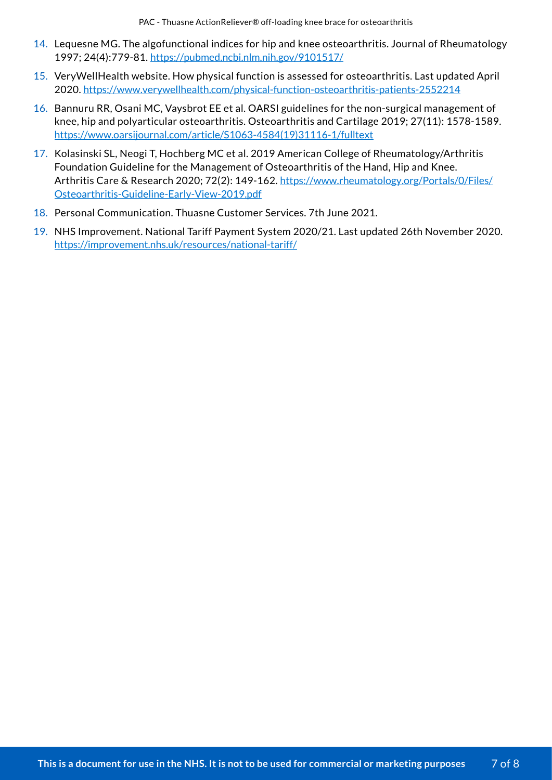PAC - Thuasne ActionReliever® off-loading knee brace for osteoarthritis

- 14. Lequesne MG. The algofunctional indices for hip and knee osteoarthritis. Journal of Rheumatology 1997; 24(4):779-81. https://pubmed.ncbi.nlm.nih.gov/9101517/
- 15. VeryWellHealth website. How physical function is assessed for osteoarthritis. Last updated April 2020. https://www.verywellhealth.com/physical-function-osteoarthritis-patients-2552214
- 16. Bannuru RR, Osani MC, Vaysbrot EE et al. OARSI guidelines for the non-surgical management of knee, hip and polyarticular osteoarthritis. Osteoarthritis and Cartilage 2019; 27(11): 1578-1589. https://www.oarsijournal.com/article/S1063-4584(19)31116-1/fulltext
- 17. Kolasinski SL, Neogi T, Hochberg MC et al. 2019 American College of Rheumatology/Arthritis Foundation Guideline for the Management of Osteoarthritis of the Hand, Hip and Knee. Arthritis Care & Research 2020; 72(2): 149-162. https://www.rheumatology.org/Portals/0/Files/ Osteoarthritis-Guideline-Early-View-2019.pdf
- 18. Personal Communication. Thuasne Customer Services. 7th June 2021.
- 19. NHS Improvement. National Tariff Payment System 2020/21. Last updated 26th November 2020. https://improvement.nhs.uk/resources/national-tariff/